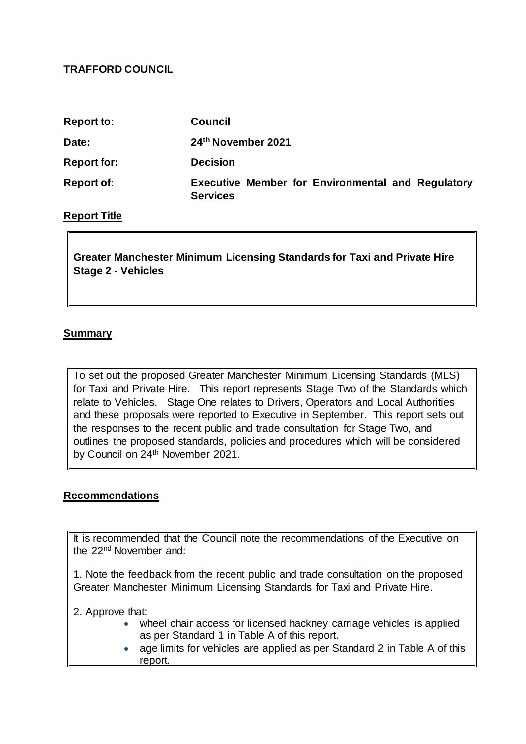## **TRAFFORD COUNCIL**

| <b>Report to:</b>  | <b>Council</b>                                                              |
|--------------------|-----------------------------------------------------------------------------|
| Date:              | 24th November 2021                                                          |
| <b>Report for:</b> | <b>Decision</b>                                                             |
| <b>Report of:</b>  | <b>Executive Member for Environmental and Regulatory</b><br><b>Services</b> |

## **Report Title**

**Greater Manchester Minimum Licensing Standards for Taxi and Private Hire Stage 2 - Vehicles**

## **Summary**

To set out the proposed Greater Manchester Minimum Licensing Standards (MLS) for Taxi and Private Hire. This report represents Stage Two of the Standards which relate to Vehicles. Stage One relates to Drivers, Operators and Local Authorities and these proposals were reported to Executive in September. This report sets out the responses to the recent public and trade consultation for Stage Two, and outlines the proposed standards, policies and procedures which will be considered by Council on 24<sup>th</sup> November 2021.

#### **Recommendations**

It is recommended that the Council note the recommendations of the Executive on the 22nd November and:

1. Note the feedback from the recent public and trade consultation on the proposed Greater Manchester Minimum Licensing Standards for Taxi and Private Hire.

2. Approve that:

- wheel chair access for licensed hackney carriage vehicles is applied as per Standard 1 in Table A of this report.
- age limits for vehicles are applied as per Standard 2 in Table A of this report.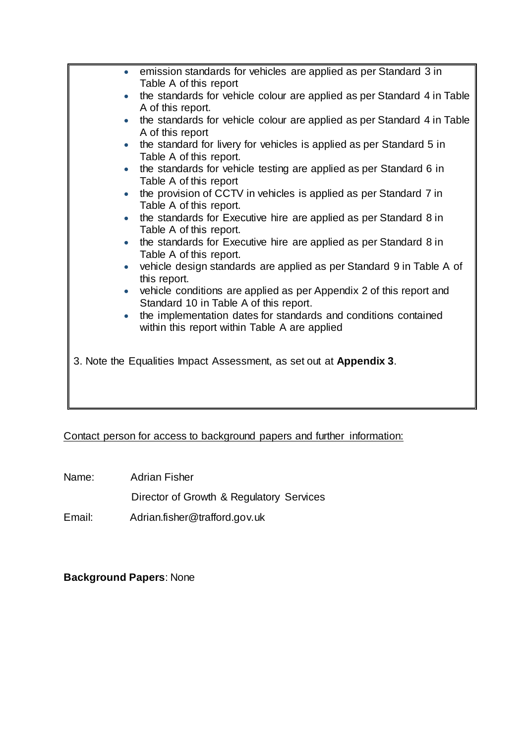|           | • emission standards for vehicles are applied as per Standard 3 in      |
|-----------|-------------------------------------------------------------------------|
|           |                                                                         |
|           | Table A of this report                                                  |
|           | the standards for vehicle colour are applied as per Standard 4 in Table |
|           | A of this report.                                                       |
|           | the standards for vehicle colour are applied as per Standard 4 in Table |
|           | A of this report                                                        |
|           | the standard for livery for vehicles is applied as per Standard 5 in    |
|           | Table A of this report.                                                 |
|           | the standards for vehicle testing are applied as per Standard 6 in      |
|           | Table A of this report                                                  |
|           | the provision of CCTV in vehicles is applied as per Standard 7 in       |
|           | Table A of this report.                                                 |
| $\bullet$ | the standards for Executive hire are applied as per Standard 8 in       |
|           | Table A of this report.                                                 |
|           |                                                                         |
|           | the standards for Executive hire are applied as per Standard 8 in       |
|           | Table A of this report.                                                 |
|           | vehicle design standards are applied as per Standard 9 in Table A of    |
|           | this report.                                                            |
|           | vehicle conditions are applied as per Appendix 2 of this report and     |
|           | Standard 10 in Table A of this report.                                  |
|           | the implementation dates for standards and conditions contained         |
|           | within this report within Table A are applied                           |
|           |                                                                         |
|           |                                                                         |
|           | 3. Note the Equalities Impact Assessment, as set out at Appendix 3.     |
|           |                                                                         |
|           |                                                                         |
|           |                                                                         |
|           |                                                                         |

Contact person for access to background papers and further information:

Name: Adrian Fisher

Director of Growth & Regulatory Services

Email: Adrian.fisher@trafford.gov.uk

**Background Papers**: None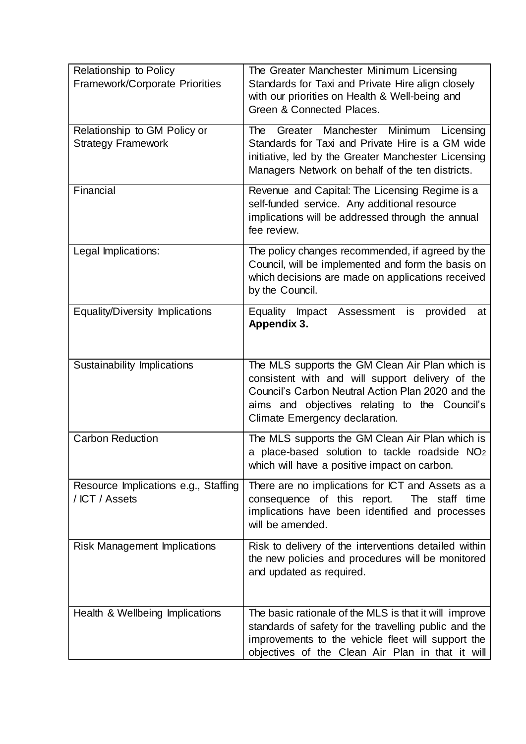| Relationship to Policy<br><b>Framework/Corporate Priorities</b> | The Greater Manchester Minimum Licensing<br>Standards for Taxi and Private Hire align closely<br>with our priorities on Health & Well-being and<br>Green & Connected Places.                                                                |
|-----------------------------------------------------------------|---------------------------------------------------------------------------------------------------------------------------------------------------------------------------------------------------------------------------------------------|
| Relationship to GM Policy or<br><b>Strategy Framework</b>       | Greater Manchester Minimum<br>The<br>Licensing<br>Standards for Taxi and Private Hire is a GM wide<br>initiative, led by the Greater Manchester Licensing<br>Managers Network on behalf of the ten districts.                               |
| Financial                                                       | Revenue and Capital: The Licensing Regime is a<br>self-funded service. Any additional resource<br>implications will be addressed through the annual<br>fee review.                                                                          |
| Legal Implications:                                             | The policy changes recommended, if agreed by the<br>Council, will be implemented and form the basis on<br>which decisions are made on applications received<br>by the Council.                                                              |
| <b>Equality/Diversity Implications</b>                          | Equality Impact Assessment<br>provided<br>is<br>at<br>Appendix 3.                                                                                                                                                                           |
| Sustainability Implications                                     | The MLS supports the GM Clean Air Plan which is<br>consistent with and will support delivery of the<br>Council's Carbon Neutral Action Plan 2020 and the<br>aims and objectives relating to the Council's<br>Climate Emergency declaration. |
| <b>Carbon Reduction</b>                                         | The MLS supports the GM Clean Air Plan which is<br>a place-based solution to tackle roadside NO <sub>2</sub><br>which will have a positive impact on carbon.                                                                                |
| Resource Implications e.g., Staffing<br>/ ICT / Assets          | There are no implications for ICT and Assets as a<br>consequence of this report. The staff time<br>implications have been identified and processes<br>will be amended.                                                                      |
| <b>Risk Management Implications</b>                             | Risk to delivery of the interventions detailed within<br>the new policies and procedures will be monitored<br>and updated as required.                                                                                                      |
| Health & Wellbeing Implications                                 | The basic rationale of the MLS is that it will improve<br>standards of safety for the travelling public and the<br>improvements to the vehicle fleet will support the<br>objectives of the Clean Air Plan in that it will                   |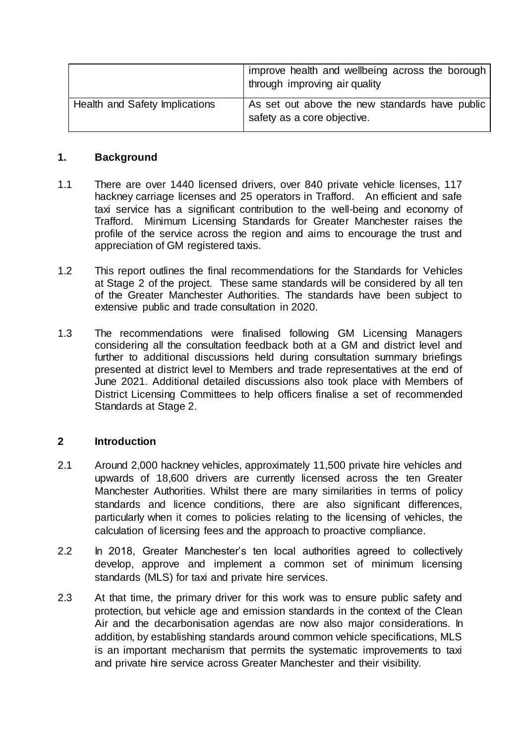|                                | improve health and wellbeing across the borough<br>through improving air quality |
|--------------------------------|----------------------------------------------------------------------------------|
| Health and Safety Implications | As set out above the new standards have public<br>safety as a core objective.    |

#### **1. Background**

- 1.1 There are over 1440 licensed drivers, over 840 private vehicle licenses, 117 hackney carriage licenses and 25 operators in Trafford. An efficient and safe taxi service has a significant contribution to the well-being and economy of Trafford. Minimum Licensing Standards for Greater Manchester raises the profile of the service across the region and aims to encourage the trust and appreciation of GM registered taxis.
- 1.2 This report outlines the final recommendations for the Standards for Vehicles at Stage 2 of the project. These same standards will be considered by all ten of the Greater Manchester Authorities. The standards have been subject to extensive public and trade consultation in 2020.
- 1.3 The recommendations were finalised following GM Licensing Managers considering all the consultation feedback both at a GM and district level and further to additional discussions held during consultation summary briefings presented at district level to Members and trade representatives at the end of June 2021. Additional detailed discussions also took place with Members of District Licensing Committees to help officers finalise a set of recommended Standards at Stage 2.

# **2 Introduction**

- 2.1 Around 2,000 hackney vehicles, approximately 11,500 private hire vehicles and upwards of 18,600 drivers are currently licensed across the ten Greater Manchester Authorities. Whilst there are many similarities in terms of policy standards and licence conditions, there are also significant differences, particularly when it comes to policies relating to the licensing of vehicles, the calculation of licensing fees and the approach to proactive compliance.
- 2.2 In 2018, Greater Manchester's ten local authorities agreed to collectively develop, approve and implement a common set of minimum licensing standards (MLS) for taxi and private hire services.
- 2.3 At that time, the primary driver for this work was to ensure public safety and protection, but vehicle age and emission standards in the context of the Clean Air and the decarbonisation agendas are now also major considerations. In addition, by establishing standards around common vehicle specifications, MLS is an important mechanism that permits the systematic improvements to taxi and private hire service across Greater Manchester and their visibility.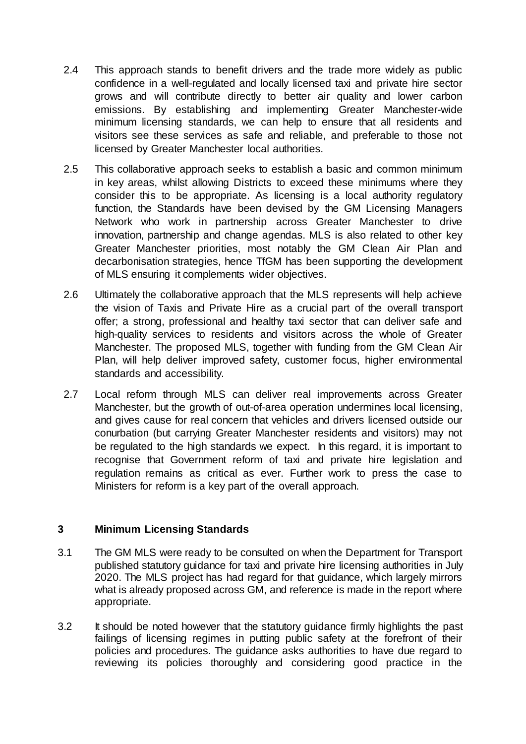- 2.4 This approach stands to benefit drivers and the trade more widely as public confidence in a well-regulated and locally licensed taxi and private hire sector grows and will contribute directly to better air quality and lower carbon emissions. By establishing and implementing Greater Manchester-wide minimum licensing standards, we can help to ensure that all residents and visitors see these services as safe and reliable, and preferable to those not licensed by Greater Manchester local authorities.
- 2.5 This collaborative approach seeks to establish a basic and common minimum in key areas, whilst allowing Districts to exceed these minimums where they consider this to be appropriate. As licensing is a local authority regulatory function, the Standards have been devised by the GM Licensing Managers Network who work in partnership across Greater Manchester to drive innovation, partnership and change agendas. MLS is also related to other key Greater Manchester priorities, most notably the GM Clean Air Plan and decarbonisation strategies, hence TfGM has been supporting the development of MLS ensuring it complements wider objectives.
- 2.6 Ultimately the collaborative approach that the MLS represents will help achieve the vision of Taxis and Private Hire as a crucial part of the overall transport offer; a strong, professional and healthy taxi sector that can deliver safe and high-quality services to residents and visitors across the whole of Greater Manchester. The proposed MLS, together with funding from the GM Clean Air Plan, will help deliver improved safety, customer focus, higher environmental standards and accessibility.
- 2.7 Local reform through MLS can deliver real improvements across Greater Manchester, but the growth of out-of-area operation undermines local licensing, and gives cause for real concern that vehicles and drivers licensed outside our conurbation (but carrying Greater Manchester residents and visitors) may not be regulated to the high standards we expect. In this regard, it is important to recognise that Government reform of taxi and private hire legislation and regulation remains as critical as ever. Further work to press the case to Ministers for reform is a key part of the overall approach.

# **3 Minimum Licensing Standards**

- 3.1 The GM MLS were ready to be consulted on when the Department for Transport published statutory guidance for taxi and private hire licensing authorities in July 2020. The MLS project has had regard for that guidance, which largely mirrors what is already proposed across GM, and reference is made in the report where appropriate.
- 3.2 It should be noted however that the statutory guidance firmly highlights the past failings of licensing regimes in putting public safety at the forefront of their policies and procedures. The guidance asks authorities to have due regard to reviewing its policies thoroughly and considering good practice in the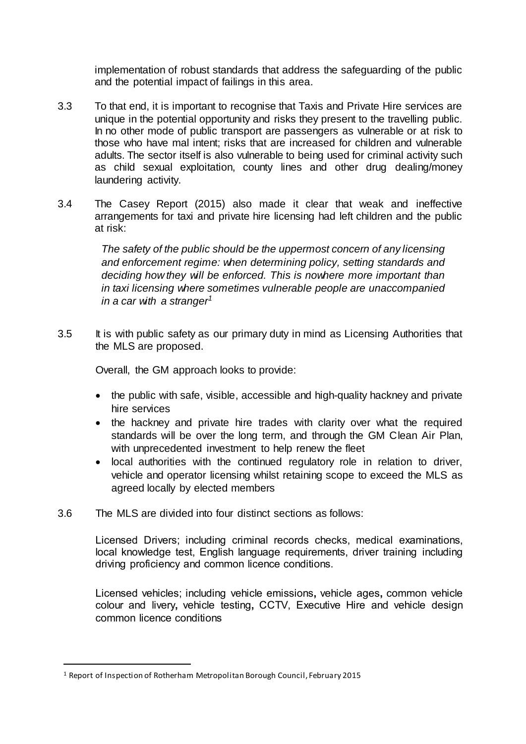implementation of robust standards that address the safeguarding of the public and the potential impact of failings in this area.

- 3.3 To that end, it is important to recognise that Taxis and Private Hire services are unique in the potential opportunity and risks they present to the travelling public. In no other mode of public transport are passengers as vulnerable or at risk to those who have mal intent; risks that are increased for children and vulnerable adults. The sector itself is also vulnerable to being used for criminal activity such as child sexual exploitation, county lines and other drug dealing/money laundering activity.
- 3.4 The Casey Report (2015) also made it clear that weak and ineffective arrangements for taxi and private hire licensing had left children and the public at risk:

*The safety of the public should be the uppermost concern of any licensing and enforcement regime: when determining policy, setting standards and deciding how they will be enforced. This is nowhere more important than in taxi licensing where sometimes vulnerable people are unaccompanied in a car with a stranger<sup>1</sup>*

3.5 It is with public safety as our primary duty in mind as Licensing Authorities that the MLS are proposed.

Overall, the GM approach looks to provide:

- the public with safe, visible, accessible and high-quality hackney and private hire services
- the hackney and private hire trades with clarity over what the required standards will be over the long term, and through the GM Clean Air Plan, with unprecedented investment to help renew the fleet
- local authorities with the continued regulatory role in relation to driver, vehicle and operator licensing whilst retaining scope to exceed the MLS as agreed locally by elected members
- 3.6 The MLS are divided into four distinct sections as follows:

Licensed Drivers; including criminal records checks, medical examinations, local knowledge test, English language requirements, driver training including driving proficiency and common licence conditions.

Licensed vehicles; including vehicle emissions**,** vehicle ages**,** common vehicle colour and livery**,** vehicle testing**,** CCTV, Executive Hire and vehicle design common licence conditions

 $\overline{a}$ 

<sup>1</sup> Report of Inspection of Rotherham Metropolitan Borough Council, February 2015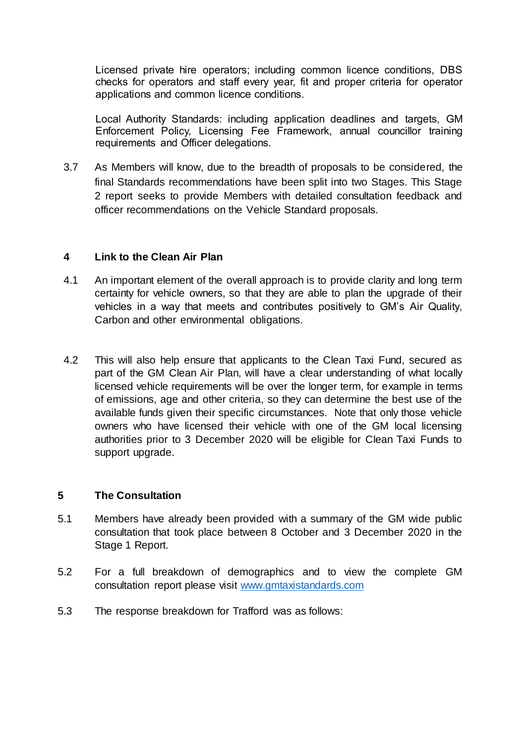Licensed private hire operators; including common licence conditions, DBS checks for operators and staff every year, fit and proper criteria for operator applications and common licence conditions.

Local Authority Standards: including application deadlines and targets, GM Enforcement Policy, Licensing Fee Framework, annual councillor training requirements and Officer delegations.

3.7 As Members will know, due to the breadth of proposals to be considered, the final Standards recommendations have been split into two Stages. This Stage 2 report seeks to provide Members with detailed consultation feedback and officer recommendations on the Vehicle Standard proposals.

## **4 Link to the Clean Air Plan**

- 4.1 An important element of the overall approach is to provide clarity and long term certainty for vehicle owners, so that they are able to plan the upgrade of their vehicles in a way that meets and contributes positively to GM's Air Quality, Carbon and other environmental obligations.
- 4.2 This will also help ensure that applicants to the Clean Taxi Fund, secured as part of the GM Clean Air Plan, will have a clear understanding of what locally licensed vehicle requirements will be over the longer term, for example in terms of emissions, age and other criteria, so they can determine the best use of the available funds given their specific circumstances. Note that only those vehicle owners who have licensed their vehicle with one of the GM local licensing authorities prior to 3 December 2020 will be eligible for Clean Taxi Funds to support upgrade.

# **5 The Consultation**

- 5.1 Members have already been provided with a summary of the GM wide public consultation that took place between 8 October and 3 December 2020 in the Stage 1 Report.
- 5.2 For a full breakdown of demographics and to view the complete GM consultation report please visit [www.gmtaxistandards.com](http://www.gmtaxistandards.com/)
- 5.3 The response breakdown for Trafford was as follows: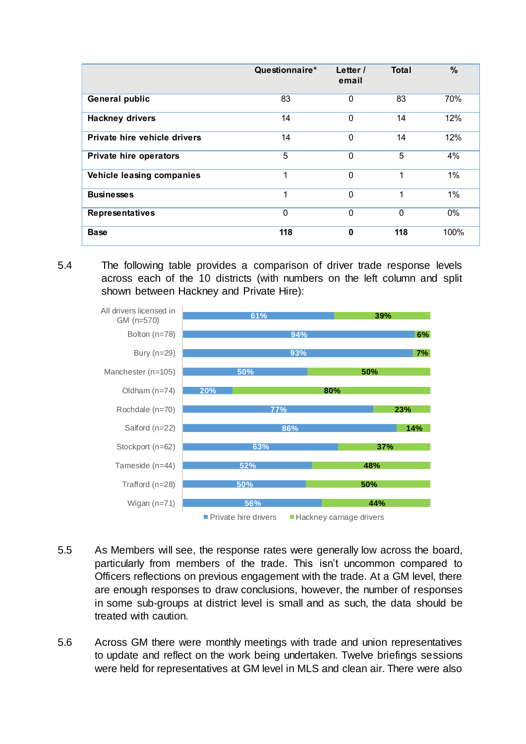|                               | Questionnaire* | Letter /<br>email | <b>Total</b> | %    |
|-------------------------------|----------------|-------------------|--------------|------|
| <b>General public</b>         | 83             | $\mathbf 0$       | 83           | 70%  |
| <b>Hackney drivers</b>        | 14             | $\mathbf 0$       | 14           | 12%  |
| Private hire vehicle drivers  | 14             | $\Omega$          | 14           | 12%  |
| <b>Private hire operators</b> | 5              | $\Omega$          | 5            | 4%   |
| Vehicle leasing companies     | 1              | $\Omega$          | 1            | 1%   |
| <b>Businesses</b>             | 1              | $\Omega$          | 1            | 1%   |
| <b>Representatives</b>        | 0              | $\Omega$          | $\mathbf 0$  | 0%   |
| <b>Base</b>                   | 118            | $\bf{0}$          | 118          | 100% |

5.4 The following table provides a comparison of driver trade response levels across each of the 10 districts (with numbers on the left column and split shown between Hackney and Private Hire):



- 5.5 As Members will see, the response rates were generally low across the board, particularly from members of the trade. This isn't uncommon compared to Officers reflections on previous engagement with the trade. At a GM level, there are enough responses to draw conclusions, however, the number of responses in some sub-groups at district level is small and as such, the data should be treated with caution.
- 5.6 Across GM there were monthly meetings with trade and union representatives to update and reflect on the work being undertaken. Twelve briefings sessions were held for representatives at GM level in MLS and clean air. There were also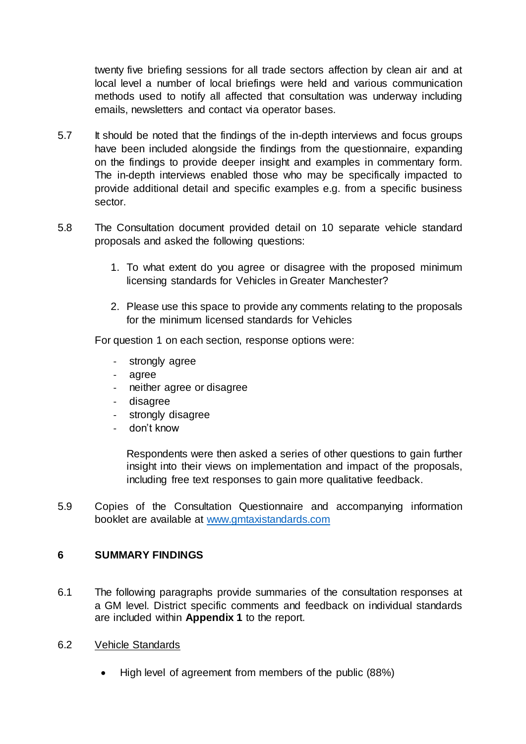twenty five briefing sessions for all trade sectors affection by clean air and at local level a number of local briefings were held and various communication methods used to notify all affected that consultation was underway including emails, newsletters and contact via operator bases.

- 5.7 It should be noted that the findings of the in-depth interviews and focus groups have been included alongside the findings from the questionnaire, expanding on the findings to provide deeper insight and examples in commentary form. The in-depth interviews enabled those who may be specifically impacted to provide additional detail and specific examples e.g. from a specific business sector.
- 5.8 The Consultation document provided detail on 10 separate vehicle standard proposals and asked the following questions:
	- 1. To what extent do you agree or disagree with the proposed minimum licensing standards for Vehicles in Greater Manchester?
	- 2. Please use this space to provide any comments relating to the proposals for the minimum licensed standards for Vehicles

For question 1 on each section, response options were:

- strongly agree
- agree
- neither agree or disagree
- disagree
- strongly disagree
- don't know

Respondents were then asked a series of other questions to gain further insight into their views on implementation and impact of the proposals, including free text responses to gain more qualitative feedback.

5.9 Copies of the Consultation Questionnaire and accompanying information booklet are available at [www.gmtaxistandards.com](http://www.gmtaxistandards.com/)

#### **6 SUMMARY FINDINGS**

- 6.1 The following paragraphs provide summaries of the consultation responses at a GM level. District specific comments and feedback on individual standards are included within **Appendix 1** to the report.
- 6.2 Vehicle Standards
	- High level of agreement from members of the public (88%)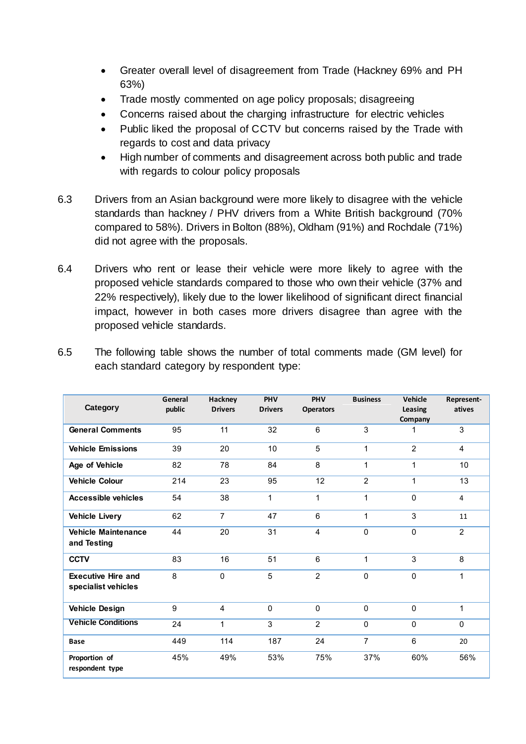- Greater overall level of disagreement from Trade (Hackney 69% and PH 63%)
- Trade mostly commented on age policy proposals; disagreeing
- Concerns raised about the charging infrastructure for electric vehicles
- Public liked the proposal of CCTV but concerns raised by the Trade with regards to cost and data privacy
- High number of comments and disagreement across both public and trade with regards to colour policy proposals
- 6.3 Drivers from an Asian background were more likely to disagree with the vehicle standards than hackney / PHV drivers from a White British background (70% compared to 58%). Drivers in Bolton (88%), Oldham (91%) and Rochdale (71%) did not agree with the proposals.
- 6.4 Drivers who rent or lease their vehicle were more likely to agree with the proposed vehicle standards compared to those who own their vehicle (37% and 22% respectively), likely due to the lower likelihood of significant direct financial impact, however in both cases more drivers disagree than agree with the proposed vehicle standards.

| Category                                         | General<br>public | Hackney<br><b>Drivers</b> | PHV<br><b>Drivers</b> | PHV<br><b>Operators</b> | <b>Business</b> | Vehicle<br>Leasing<br>Company | Represent-<br>atives |
|--------------------------------------------------|-------------------|---------------------------|-----------------------|-------------------------|-----------------|-------------------------------|----------------------|
| <b>General Comments</b>                          | 95                | 11                        | 32                    | 6                       | 3               | 1                             | 3                    |
| <b>Vehicle Emissions</b>                         | 39                | 20                        | 10                    | 5                       | $\mathbf{1}$    | $\overline{2}$                | $\overline{4}$       |
| Age of Vehicle                                   | 82                | 78                        | 84                    | 8                       | 1               | 1                             | 10                   |
| <b>Vehicle Colour</b>                            | 214               | 23                        | 95                    | 12                      | $\overline{2}$  | 1                             | 13                   |
| <b>Accessible vehicles</b>                       | 54                | 38                        | 1                     | 1                       | 1               | 0                             | 4                    |
| <b>Vehicle Livery</b>                            | 62                | $\overline{7}$            | 47                    | 6                       | 1               | 3                             | 11                   |
| <b>Vehicle Maintenance</b><br>and Testing        | 44                | 20                        | 31                    | 4                       | $\mathbf{0}$    | $\Omega$                      | $\overline{2}$       |
| <b>CCTV</b>                                      | 83                | 16                        | 51                    | 6                       | $\mathbf{1}$    | 3                             | 8                    |
| <b>Executive Hire and</b><br>specialist vehicles | 8                 | $\mathbf{0}$              | 5                     | $\overline{2}$          | $\mathbf 0$     | $\Omega$                      | 1                    |
| <b>Vehicle Design</b>                            | 9                 | $\overline{4}$            | $\Omega$              | $\Omega$                | $\Omega$        | $\Omega$                      | 1                    |
| <b>Vehicle Conditions</b>                        | 24                | $\mathbf{1}$              | 3                     | $\overline{2}$          | $\mathbf 0$     | $\Omega$                      | $\Omega$             |
| <b>Base</b>                                      | 449               | 114                       | 187                   | 24                      | $\overline{7}$  | 6                             | 20                   |
| Proportion of<br>respondent type                 | 45%               | 49%                       | 53%                   | 75%                     | 37%             | 60%                           | 56%                  |

6.5 The following table shows the number of total comments made (GM level) for each standard category by respondent type: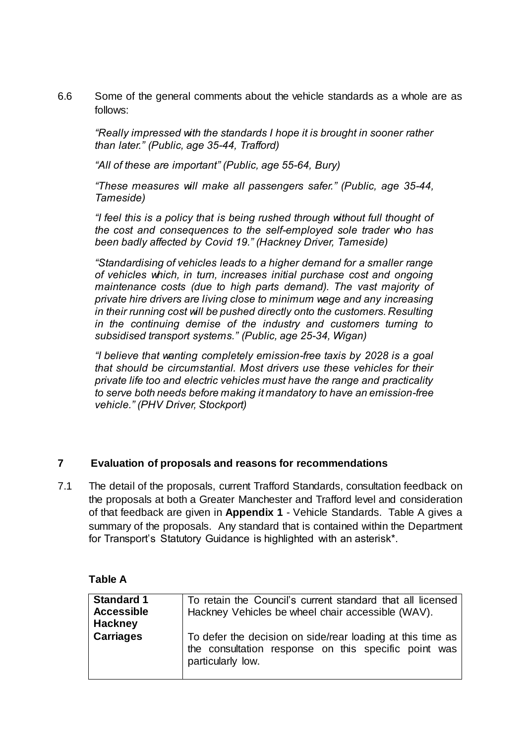6.6 Some of the general comments about the vehicle standards as a whole are as follows:

*"Really impressed with the standards I hope it is brought in sooner rather than later." (Public, age 35-44, Trafford)*

*"All of these are important" (Public, age 55-64, Bury)*

*"These measures will make all passengers safer." (Public, age 35-44, Tameside)*

*"I feel this is a policy that is being rushed through without full thought of the cost and consequences to the self-employed sole trader who has been badly affected by Covid 19." (Hackney Driver, Tameside)* 

*"Standardising of vehicles leads to a higher demand for a smaller range of vehicles which, in turn, increases initial purchase cost and ongoing maintenance costs (due to high parts demand). The vast majority of private hire drivers are living close to minimum wage and any increasing in their running cost will be pushed directly onto the customers. Resulting in the continuing demise of the industry and customers turning to subsidised transport systems." (Public, age 25-34, Wigan)*

*"I believe that wanting completely emission-free taxis by 2028 is a goal that should be circumstantial. Most drivers use these vehicles for their private life too and electric vehicles must have the range and practicality to serve both needs before making it mandatory to have an emission-free vehicle." (PHV Driver, Stockport)*

#### **7 Evaluation of proposals and reasons for recommendations**

7.1 The detail of the proposals, current Trafford Standards, consultation feedback on the proposals at both a Greater Manchester and Trafford level and consideration of that feedback are given in **Appendix 1** - Vehicle Standards. Table A gives a summary of the proposals. Any standard that is contained within the Department for Transport's Statutory Guidance is highlighted with an asterisk\*.

| able |  |
|------|--|
|------|--|

| <b>Standard 1</b><br><b>Accessible</b><br><b>Hackney</b> | To retain the Council's current standard that all licensed<br>Hackney Vehicles be wheel chair accessible (WAV).                         |
|----------------------------------------------------------|-----------------------------------------------------------------------------------------------------------------------------------------|
| <b>Carriages</b>                                         | To defer the decision on side/rear loading at this time as<br>the consultation response on this specific point was<br>particularly low. |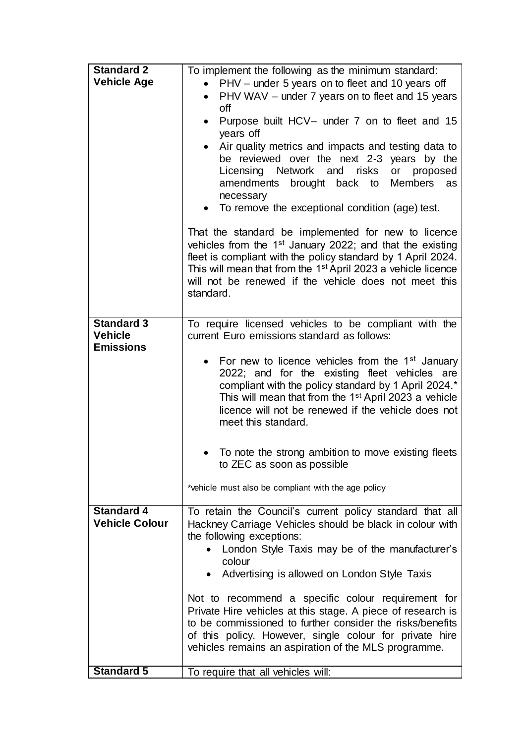| <b>Standard 2</b>     | To implement the following as the minimum standard:                                                   |  |  |  |  |
|-----------------------|-------------------------------------------------------------------------------------------------------|--|--|--|--|
| <b>Vehicle Age</b>    | • PHV – under 5 years on to fleet and 10 years off                                                    |  |  |  |  |
|                       | PHV WAV - under 7 years on to fleet and 15 years                                                      |  |  |  |  |
|                       | off                                                                                                   |  |  |  |  |
|                       | Purpose built HCV- under 7 on to fleet and 15<br>$\bullet$                                            |  |  |  |  |
|                       | years off                                                                                             |  |  |  |  |
|                       | Air quality metrics and impacts and testing data to<br>$\bullet$                                      |  |  |  |  |
|                       | be reviewed over the next 2-3 years by the                                                            |  |  |  |  |
|                       | Network and<br>risks<br>Licensing<br>or proposed                                                      |  |  |  |  |
|                       | amendments brought back to<br>Members as                                                              |  |  |  |  |
|                       | necessary                                                                                             |  |  |  |  |
|                       | To remove the exceptional condition (age) test.                                                       |  |  |  |  |
|                       | That the standard be implemented for new to licence                                                   |  |  |  |  |
|                       | vehicles from the 1 <sup>st</sup> January 2022; and that the existing                                 |  |  |  |  |
|                       | fleet is compliant with the policy standard by 1 April 2024.                                          |  |  |  |  |
|                       | This will mean that from the 1 <sup>st</sup> April 2023 a vehicle licence                             |  |  |  |  |
|                       | will not be renewed if the vehicle does not meet this                                                 |  |  |  |  |
|                       | standard.                                                                                             |  |  |  |  |
|                       |                                                                                                       |  |  |  |  |
| <b>Standard 3</b>     | To require licensed vehicles to be compliant with the                                                 |  |  |  |  |
| <b>Vehicle</b>        | current Euro emissions standard as follows:                                                           |  |  |  |  |
| <b>Emissions</b>      |                                                                                                       |  |  |  |  |
|                       | • For new to licence vehicles from the $1st$ January                                                  |  |  |  |  |
|                       | 2022; and for the existing fleet vehicles are<br>compliant with the policy standard by 1 April 2024.* |  |  |  |  |
|                       | This will mean that from the 1 <sup>st</sup> April 2023 a vehicle                                     |  |  |  |  |
|                       | licence will not be renewed if the vehicle does not                                                   |  |  |  |  |
|                       | meet this standard.                                                                                   |  |  |  |  |
|                       |                                                                                                       |  |  |  |  |
|                       | To note the strong ambition to move existing fleets<br>$\bullet$                                      |  |  |  |  |
|                       | to ZEC as soon as possible                                                                            |  |  |  |  |
|                       | *vehicle must also be compliant with the age policy                                                   |  |  |  |  |
| <b>Standard 4</b>     | To retain the Council's current policy standard that all                                              |  |  |  |  |
| <b>Vehicle Colour</b> | Hackney Carriage Vehicles should be black in colour with                                              |  |  |  |  |
|                       | the following exceptions:                                                                             |  |  |  |  |
|                       | London Style Taxis may be of the manufacturer's                                                       |  |  |  |  |
|                       | colour                                                                                                |  |  |  |  |
|                       | Advertising is allowed on London Style Taxis<br>$\bullet$                                             |  |  |  |  |
|                       | Not to recommend a specific colour requirement for                                                    |  |  |  |  |
|                       | Private Hire vehicles at this stage. A piece of research is                                           |  |  |  |  |
|                       | to be commissioned to further consider the risks/benefits                                             |  |  |  |  |
|                       | of this policy. However, single colour for private hire                                               |  |  |  |  |
|                       | vehicles remains an aspiration of the MLS programme.                                                  |  |  |  |  |
| <b>Standard 5</b>     |                                                                                                       |  |  |  |  |
|                       | To require that all vehicles will:                                                                    |  |  |  |  |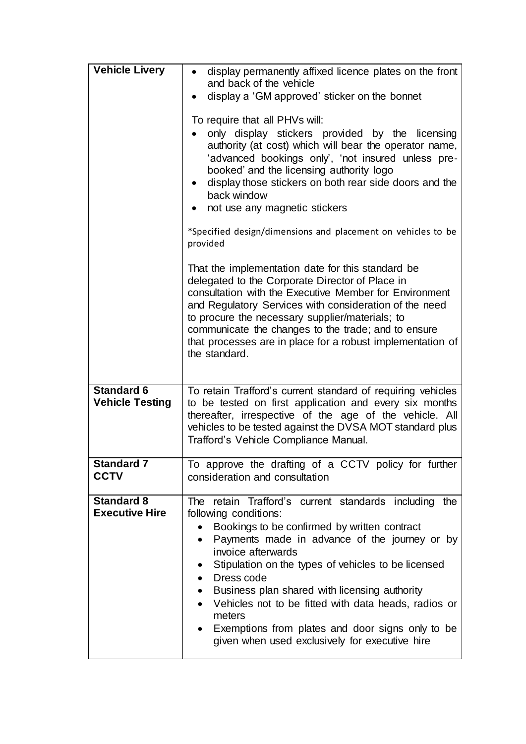| <b>Vehicle Livery</b>                       | display permanently affixed licence plates on the front<br>and back of the vehicle<br>display a 'GM approved' sticker on the bonnet<br>To require that all PHVs will:<br>only display stickers provided by the licensing<br>authority (at cost) which will bear the operator name,<br>'advanced bookings only', 'not insured unless pre-<br>booked' and the licensing authority logo<br>display those stickers on both rear side doors and the<br>back window<br>not use any magnetic stickers<br>*Specified design/dimensions and placement on vehicles to be<br>provided |
|---------------------------------------------|----------------------------------------------------------------------------------------------------------------------------------------------------------------------------------------------------------------------------------------------------------------------------------------------------------------------------------------------------------------------------------------------------------------------------------------------------------------------------------------------------------------------------------------------------------------------------|
|                                             | That the implementation date for this standard be<br>delegated to the Corporate Director of Place in<br>consultation with the Executive Member for Environment<br>and Regulatory Services with consideration of the need<br>to procure the necessary supplier/materials; to<br>communicate the changes to the trade; and to ensure<br>that processes are in place for a robust implementation of<br>the standard.                                                                                                                                                          |
| <b>Standard 6</b><br><b>Vehicle Testing</b> | To retain Trafford's current standard of requiring vehicles<br>to be tested on first application and every six months<br>thereafter, irrespective of the age of the vehicle. All<br>vehicles to be tested against the DVSA MOT standard plus<br>Trafford's Vehicle Compliance Manual.                                                                                                                                                                                                                                                                                      |
| Standard 7<br><b>CCTV</b>                   | To approve the drafting of a CCTV policy for further<br>consideration and consultation                                                                                                                                                                                                                                                                                                                                                                                                                                                                                     |
| <b>Standard 8</b><br><b>Executive Hire</b>  | retain Trafford's current standards including<br>The i<br>the<br>following conditions:<br>Bookings to be confirmed by written contract<br>$\bullet$<br>Payments made in advance of the journey or by<br>invoice afterwards<br>Stipulation on the types of vehicles to be licensed<br>Dress code<br>$\bullet$<br>Business plan shared with licensing authority<br>$\bullet$<br>Vehicles not to be fitted with data heads, radios or<br>meters<br>Exemptions from plates and door signs only to be<br>given when used exclusively for executive hire                         |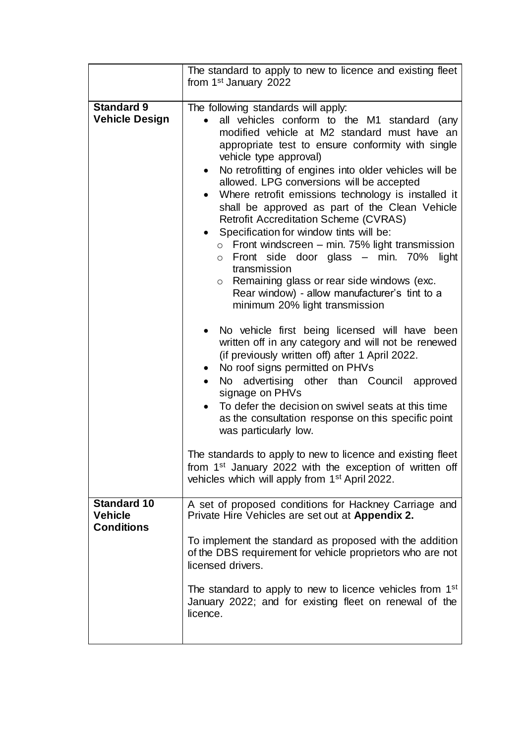|                                                           | The standard to apply to new to licence and existing fleet<br>from 1 <sup>st</sup> January 2022                                                                                                                                                                                                                                                                                                                                                                                                                                                                                                                                                                                                                                                                                                                          |
|-----------------------------------------------------------|--------------------------------------------------------------------------------------------------------------------------------------------------------------------------------------------------------------------------------------------------------------------------------------------------------------------------------------------------------------------------------------------------------------------------------------------------------------------------------------------------------------------------------------------------------------------------------------------------------------------------------------------------------------------------------------------------------------------------------------------------------------------------------------------------------------------------|
|                                                           |                                                                                                                                                                                                                                                                                                                                                                                                                                                                                                                                                                                                                                                                                                                                                                                                                          |
| <b>Standard 9</b><br><b>Vehicle Design</b>                | The following standards will apply:<br>all vehicles conform to the M1 standard (any<br>modified vehicle at M2 standard must have an<br>appropriate test to ensure conformity with single<br>vehicle type approval)<br>No retrofitting of engines into older vehicles will be<br>allowed. LPG conversions will be accepted<br>Where retrofit emissions technology is installed it<br>$\bullet$<br>shall be approved as part of the Clean Vehicle<br><b>Retrofit Accreditation Scheme (CVRAS)</b><br>Specification for window tints will be:<br>Front windscreen – min. 75% light transmission<br>$\circ$<br>Front side door glass - min. 70% light<br>$\circ$<br>transmission<br>Remaining glass or rear side windows (exc.<br>$\circ$<br>Rear window) - allow manufacturer's tint to a<br>minimum 20% light transmission |
|                                                           | No vehicle first being licensed will have been<br>written off in any category and will not be renewed<br>(if previously written off) after 1 April 2022.<br>No roof signs permitted on PHVs<br>$\bullet$<br>advertising other than Council approved<br>No l<br>signage on PHVs<br>To defer the decision on swivel seats at this time<br>as the consultation response on this specific point<br>was particularly low.                                                                                                                                                                                                                                                                                                                                                                                                     |
|                                                           | The standards to apply to new to licence and existing fleet<br>from 1 <sup>st</sup> January 2022 with the exception of written off<br>vehicles which will apply from 1 <sup>st</sup> April 2022.                                                                                                                                                                                                                                                                                                                                                                                                                                                                                                                                                                                                                         |
| <b>Standard 10</b><br><b>Vehicle</b><br><b>Conditions</b> | A set of proposed conditions for Hackney Carriage and<br>Private Hire Vehicles are set out at Appendix 2.                                                                                                                                                                                                                                                                                                                                                                                                                                                                                                                                                                                                                                                                                                                |
|                                                           | To implement the standard as proposed with the addition<br>of the DBS requirement for vehicle proprietors who are not<br>licensed drivers.                                                                                                                                                                                                                                                                                                                                                                                                                                                                                                                                                                                                                                                                               |
|                                                           | The standard to apply to new to licence vehicles from 1 <sup>st</sup><br>January 2022; and for existing fleet on renewal of the<br>licence.                                                                                                                                                                                                                                                                                                                                                                                                                                                                                                                                                                                                                                                                              |
|                                                           |                                                                                                                                                                                                                                                                                                                                                                                                                                                                                                                                                                                                                                                                                                                                                                                                                          |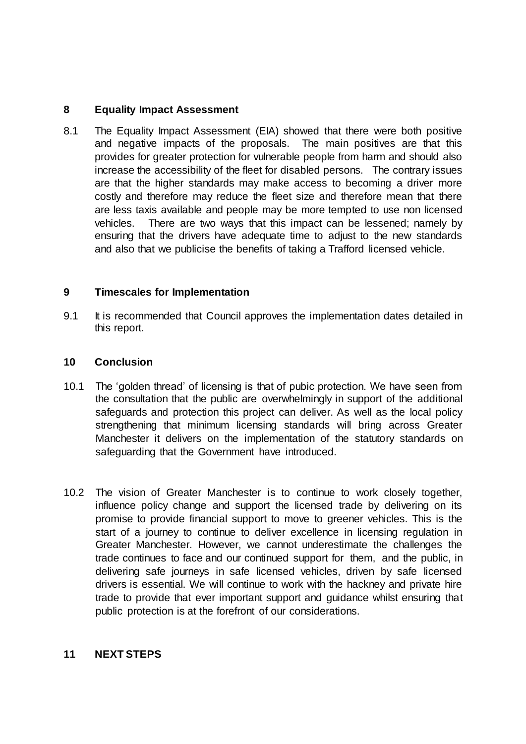## **8 Equality Impact Assessment**

8.1 The Equality Impact Assessment (EIA) showed that there were both positive and negative impacts of the proposals. The main positives are that this provides for greater protection for vulnerable people from harm and should also increase the accessibility of the fleet for disabled persons. The contrary issues are that the higher standards may make access to becoming a driver more costly and therefore may reduce the fleet size and therefore mean that there are less taxis available and people may be more tempted to use non licensed vehicles. There are two ways that this impact can be lessened; namely by ensuring that the drivers have adequate time to adjust to the new standards and also that we publicise the benefits of taking a Trafford licensed vehicle.

#### **9 Timescales for Implementation**

9.1 It is recommended that Council approves the implementation dates detailed in this report.

#### **10 Conclusion**

- 10.1 The 'golden thread' of licensing is that of pubic protection. We have seen from the consultation that the public are overwhelmingly in support of the additional safeguards and protection this project can deliver. As well as the local policy strengthening that minimum licensing standards will bring across Greater Manchester it delivers on the implementation of the statutory standards on safeguarding that the Government have introduced.
- 10.2 The vision of Greater Manchester is to continue to work closely together, influence policy change and support the licensed trade by delivering on its promise to provide financial support to move to greener vehicles. This is the start of a journey to continue to deliver excellence in licensing regulation in Greater Manchester. However, we cannot underestimate the challenges the trade continues to face and our continued support for them, and the public, in delivering safe journeys in safe licensed vehicles, driven by safe licensed drivers is essential. We will continue to work with the hackney and private hire trade to provide that ever important support and guidance whilst ensuring that public protection is at the forefront of our considerations.

#### **11 NEXT STEPS**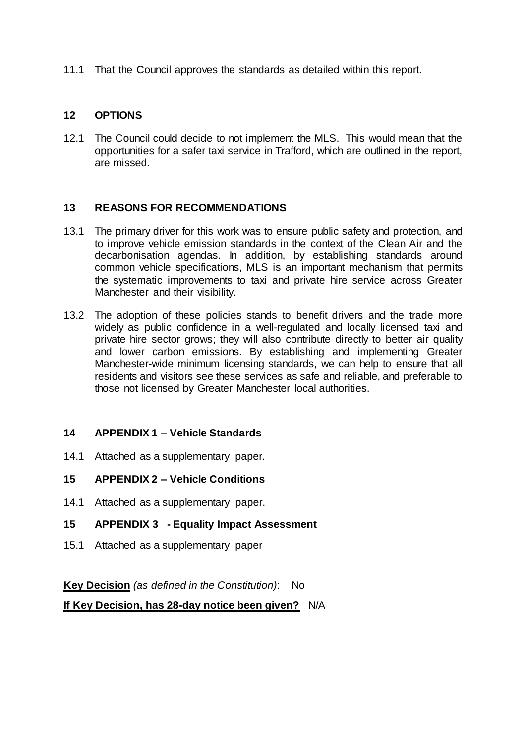11.1 That the Council approves the standards as detailed within this report.

#### **12 OPTIONS**

12.1 The Council could decide to not implement the MLS. This would mean that the opportunities for a safer taxi service in Trafford, which are outlined in the report, are missed.

#### **13 REASONS FOR RECOMMENDATIONS**

- 13.1 The primary driver for this work was to ensure public safety and protection, and to improve vehicle emission standards in the context of the Clean Air and the decarbonisation agendas. In addition, by establishing standards around common vehicle specifications, MLS is an important mechanism that permits the systematic improvements to taxi and private hire service across Greater Manchester and their visibility.
- 13.2 The adoption of these policies stands to benefit drivers and the trade more widely as public confidence in a well-regulated and locally licensed taxi and private hire sector grows; they will also contribute directly to better air quality and lower carbon emissions. By establishing and implementing Greater Manchester-wide minimum licensing standards, we can help to ensure that all residents and visitors see these services as safe and reliable, and preferable to those not licensed by Greater Manchester local authorities.

#### **14 APPENDIX 1 – Vehicle Standards**

- 14.1 Attached as a supplementary paper.
- **15 APPENDIX 2 – Vehicle Conditions**
- 14.1 Attached as a supplementary paper.
- **15 APPENDIX 3 - Equality Impact Assessment**
- 15.1 Attached as a supplementary paper

**Key Decision** *(as defined in the Constitution)*: No

**If Key Decision, has 28-day notice been given?** N/A